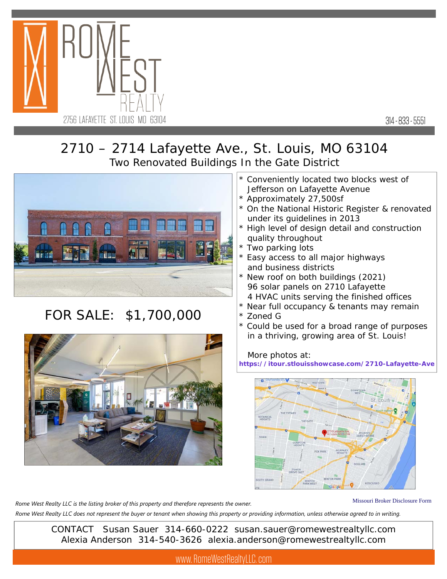

314 - 833 - 5551

## 2710 – 2714 Lafayette Ave., St. Louis, MO 63104 Two Renovated Buildings In the Gate District



## FOR SALE: \$1,700,000



- \* Conveniently located two blocks west of Jefferson on Lafayette Avenue
- \* Approximately 27,500sf
- \* On the National Historic Register & renovated under its guidelines in 2013
- \* High level of design detail and construction quality throughout
- \* Two parking lots
- \* Easy access to all major highways and business districts
- New roof on both buildings (2021) 96 solar panels on 2710 Lafayette 4 HVAC units serving the finished offices
- \* Near full occupancy & tenants may remain
- \* Zoned G
- \* Could be used for a broad range of purposes in a thriving, growing area of St. Louis!

## More photos at:

**https://itour.stlouisshowcase.com/2710-Lafayette-Ave**



*Rome West Realty LLC is the listing broker of this property and therefore represents the owner.* 

Missouri Broker Disclosure Form

*Rome West Realty LLC does not represent the buyer or tenant when showing this property or providing information, unless otherwise agreed to in writing.*

CONTACT Susan Sauer 314-660-0222 susan.sauer@romewestrealtyllc.com Alexia Anderson 314-540-3626 alexia.anderson@romewestrealtyllc.com